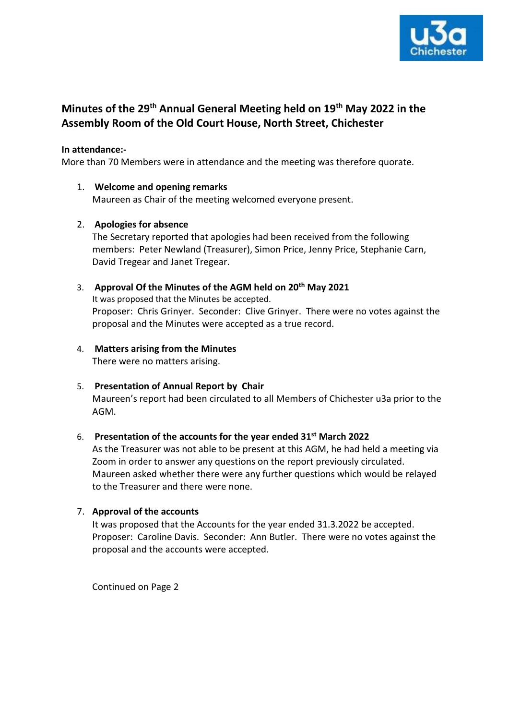

# **Minutes of the 29th Annual General Meeting held on 19th May 2022 in the Assembly Room of the Old Court House, North Street, Chichester**

### **In attendance:-**

More than 70 Members were in attendance and the meeting was therefore quorate.

1. **Welcome and opening remarks** Maureen as Chair of the meeting welcomed everyone present.

### 2. **Apologies for absence**

The Secretary reported that apologies had been received from the following members: Peter Newland (Treasurer), Simon Price, Jenny Price, Stephanie Carn, David Tregear and Janet Tregear.

3. **Approval Of the Minutes of the AGM held on 20th May 2021** It was proposed that the Minutes be accepted. Proposer: Chris Grinyer. Seconder: Clive Grinyer. There were no votes against the proposal and the Minutes were accepted as a true record.

#### 4. **Matters arising from the Minutes** There were no matters arising.

5. **Presentation of Annual Report by Chair** Maureen's report had been circulated to all Members of Chichester u3a prior to the AGM.

# 6. **Presentation of the accounts for the year ended 31st March 2022**

As the Treasurer was not able to be present at this AGM, he had held a meeting via Zoom in order to answer any questions on the report previously circulated. Maureen asked whether there were any further questions which would be relayed to the Treasurer and there were none.

### 7. **Approval of the accounts**

It was proposed that the Accounts for the year ended 31.3.2022 be accepted. Proposer: Caroline Davis. Seconder: Ann Butler. There were no votes against the proposal and the accounts were accepted.

Continued on Page 2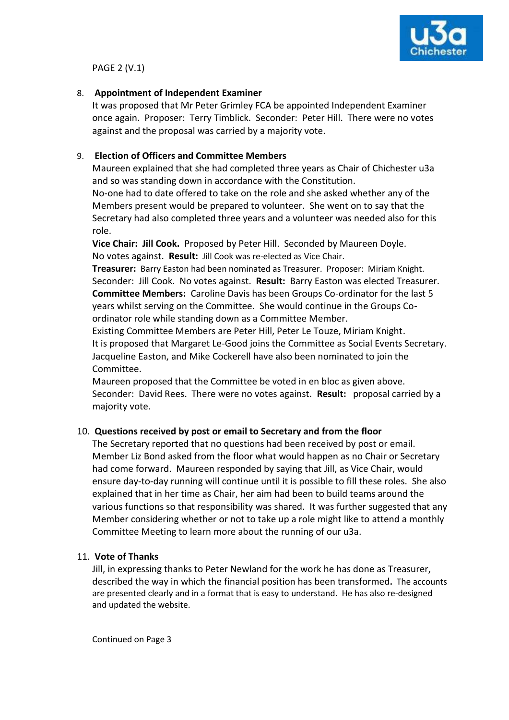

PAGE 2 (V.1)

### 8. **Appointment of Independent Examiner**

It was proposed that Mr Peter Grimley FCA be appointed Independent Examiner once again. Proposer: Terry Timblick. Seconder: Peter Hill. There were no votes against and the proposal was carried by a majority vote.

# 9. **Election of Officers and Committee Members**

Maureen explained that she had completed three years as Chair of Chichester u3a and so was standing down in accordance with the Constitution.

No-one had to date offered to take on the role and she asked whether any of the Members present would be prepared to volunteer. She went on to say that the Secretary had also completed three years and a volunteer was needed also for this role.

**Vice Chair: Jill Cook.** Proposed by Peter Hill. Seconded by Maureen Doyle. No votes against. **Result:** Jill Cook was re-elected as Vice Chair.

**Treasurer:** Barry Easton had been nominated as Treasurer. Proposer: Miriam Knight. Seconder: Jill Cook. No votes against. **Result:** Barry Easton was elected Treasurer. **Committee Members:** Caroline Davis has been Groups Co-ordinator for the last 5 years whilst serving on the Committee. She would continue in the Groups Coordinator role while standing down as a Committee Member.

Existing Committee Members are Peter Hill, Peter Le Touze, Miriam Knight. It is proposed that Margaret Le-Good joins the Committee as Social Events Secretary. Jacqueline Easton, and Mike Cockerell have also been nominated to join the Committee.

Maureen proposed that the Committee be voted in en bloc as given above. Seconder: David Rees. There were no votes against. **Result:** proposal carried by a majority vote.

# 10. **Questions received by post or email to Secretary and from the floor**

The Secretary reported that no questions had been received by post or email. Member Liz Bond asked from the floor what would happen as no Chair or Secretary had come forward. Maureen responded by saying that Jill, as Vice Chair, would ensure day-to-day running will continue until it is possible to fill these roles. She also explained that in her time as Chair, her aim had been to build teams around the various functions so that responsibility was shared. It was further suggested that any Member considering whether or not to take up a role might like to attend a monthly Committee Meeting to learn more about the running of our u3a.

# 11. **Vote of Thanks**

Jill, in expressing thanks to Peter Newland for the work he has done as Treasurer, described the way in which the financial position has been transformed**.** The accounts are presented clearly and in a format that is easy to understand. He has also re-designed and updated the website.

Continued on Page 3